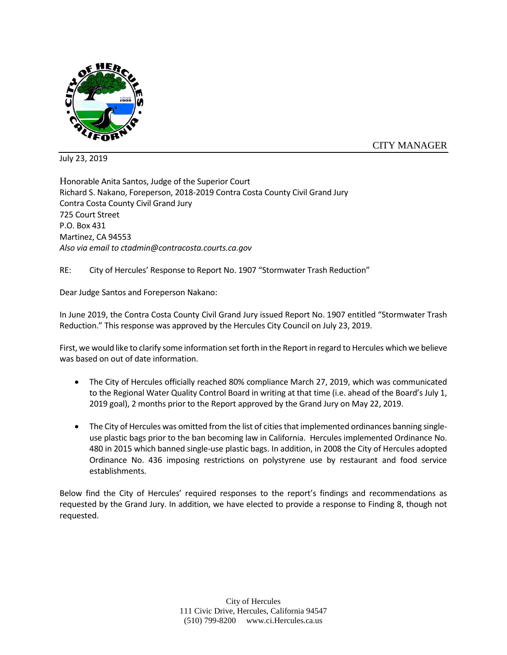

CITY MANAGER

July 23, 2019

Honorable Anita Santos, Judge of the Superior Court Richard S. Nakano, Foreperson, 2018-2019 Contra Costa County Civil Grand Jury Contra Costa County Civil Grand Jury 725 Court Street P.O. Box 431 Martinez, CA 94553 *Also via email to ctadmin@contracosta.courts.ca.gov*

RE: City of Hercules' Response to Report No. 1907 "Stormwater Trash Reduction"

Dear Judge Santos and Foreperson Nakano:

In June 2019, the Contra Costa County Civil Grand Jury issued Report No. 1907 entitled "Stormwater Trash Reduction." This response was approved by the Hercules City Council on July 23, 2019.

First, we would like to clarify some information set forth in the Report in regard to Hercules which we believe was based on out of date information.

- The City of Hercules officially reached 80% compliance March 27, 2019, which was communicated to the Regional Water Quality Control Board in writing at that time (i.e. ahead of the Board's July 1, 2019 goal), 2 months prior to the Report approved by the Grand Jury on May 22, 2019.
- The City of Hercules was omitted from the list of cities that implemented ordinances banning singleuse plastic bags prior to the ban becoming law in California. Hercules implemented Ordinance No. 480 in 2015 which banned single-use plastic bags. In addition, in 2008 the City of Hercules adopted Ordinance No. 436 imposing restrictions on polystyrene use by restaurant and food service establishments.

Below find the City of Hercules' required responses to the report's findings and recommendations as requested by the Grand Jury. In addition, we have elected to provide a response to Finding 8, though not requested.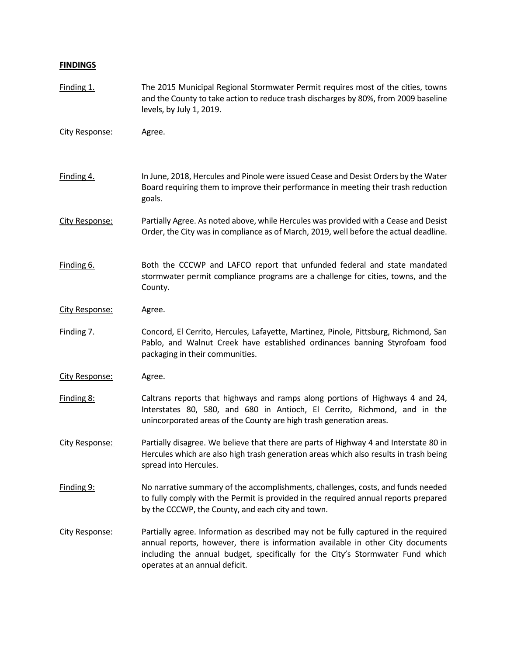## **FINDINGS**

| Finding 1.     | The 2015 Municipal Regional Stormwater Permit requires most of the cities, towns<br>and the County to take action to reduce trash discharges by 80%, from 2009 baseline<br>levels, by July 1, 2019.                                                                                        |
|----------------|--------------------------------------------------------------------------------------------------------------------------------------------------------------------------------------------------------------------------------------------------------------------------------------------|
| City Response: | Agree.                                                                                                                                                                                                                                                                                     |
| Finding 4.     | In June, 2018, Hercules and Pinole were issued Cease and Desist Orders by the Water<br>Board requiring them to improve their performance in meeting their trash reduction<br>goals.                                                                                                        |
| City Response: | Partially Agree. As noted above, while Hercules was provided with a Cease and Desist<br>Order, the City was in compliance as of March, 2019, well before the actual deadline.                                                                                                              |
| Finding 6.     | Both the CCCWP and LAFCO report that unfunded federal and state mandated<br>stormwater permit compliance programs are a challenge for cities, towns, and the<br>County.                                                                                                                    |
| City Response: | Agree.                                                                                                                                                                                                                                                                                     |
| Finding 7.     | Concord, El Cerrito, Hercules, Lafayette, Martinez, Pinole, Pittsburg, Richmond, San<br>Pablo, and Walnut Creek have established ordinances banning Styrofoam food<br>packaging in their communities.                                                                                      |
| City Response: | Agree.                                                                                                                                                                                                                                                                                     |
| Finding 8:     | Caltrans reports that highways and ramps along portions of Highways 4 and 24,<br>Interstates 80, 580, and 680 in Antioch, El Cerrito, Richmond, and in the<br>unincorporated areas of the County are high trash generation areas.                                                          |
| City Response: | Partially disagree. We believe that there are parts of Highway 4 and Interstate 80 in<br>Hercules which are also high trash generation areas which also results in trash being<br>spread into Hercules.                                                                                    |
| Finding 9:     | No narrative summary of the accomplishments, challenges, costs, and funds needed<br>to fully comply with the Permit is provided in the required annual reports prepared<br>by the CCCWP, the County, and each city and town.                                                               |
| City Response: | Partially agree. Information as described may not be fully captured in the required<br>annual reports, however, there is information available in other City documents<br>including the annual budget, specifically for the City's Stormwater Fund which<br>operates at an annual deficit. |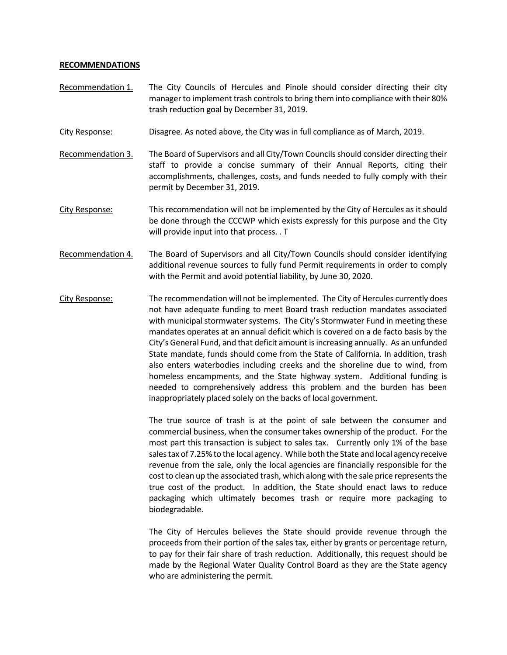## **RECOMMENDATIONS**

- Recommendation 1. The City Councils of Hercules and Pinole should consider directing their city manager to implement trash controls to bring them into compliance with their 80% trash reduction goal by December 31, 2019.
- City Response: Disagree. As noted above, the City was in full compliance as of March, 2019.

Recommendation 3. The Board of Supervisors and all City/Town Councils should consider directing their staff to provide a concise summary of their Annual Reports, citing their accomplishments, challenges, costs, and funds needed to fully comply with their permit by December 31, 2019.

- City Response: This recommendation will not be implemented by the City of Hercules as it should be done through the CCCWP which exists expressly for this purpose and the City will provide input into that process. . T
- Recommendation 4. The Board of Supervisors and all City/Town Councils should consider identifying additional revenue sources to fully fund Permit requirements in order to comply with the Permit and avoid potential liability, by June 30, 2020.
- City Response: The recommendation will not be implemented. The City of Hercules currently does not have adequate funding to meet Board trash reduction mandates associated with municipal stormwater systems. The City's Stormwater Fund in meeting these mandates operates at an annual deficit which is covered on a de facto basis by the City's General Fund, and that deficit amount is increasing annually. As an unfunded State mandate, funds should come from the State of California. In addition, trash also enters waterbodies including creeks and the shoreline due to wind, from homeless encampments, and the State highway system. Additional funding is needed to comprehensively address this problem and the burden has been inappropriately placed solely on the backs of local government.

The true source of trash is at the point of sale between the consumer and commercial business, when the consumer takes ownership of the product. For the most part this transaction is subject to sales tax. Currently only 1% of the base sales tax of 7.25% to the local agency. While both the State and local agency receive revenue from the sale, only the local agencies are financially responsible for the cost to clean up the associated trash, which along with the sale price represents the true cost of the product. In addition, the State should enact laws to reduce packaging which ultimately becomes trash or require more packaging to biodegradable.

The City of Hercules believes the State should provide revenue through the proceeds from their portion of the sales tax, either by grants or percentage return, to pay for their fair share of trash reduction. Additionally, this request should be made by the Regional Water Quality Control Board as they are the State agency who are administering the permit.